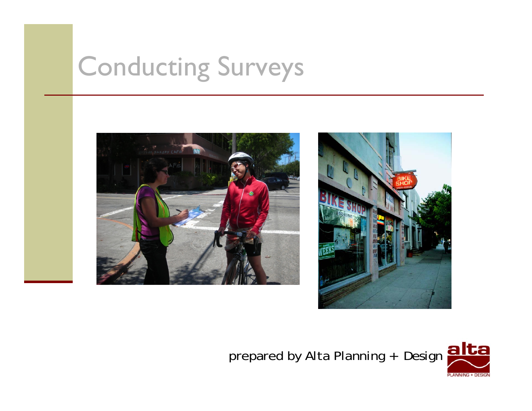# Conducting Surveys





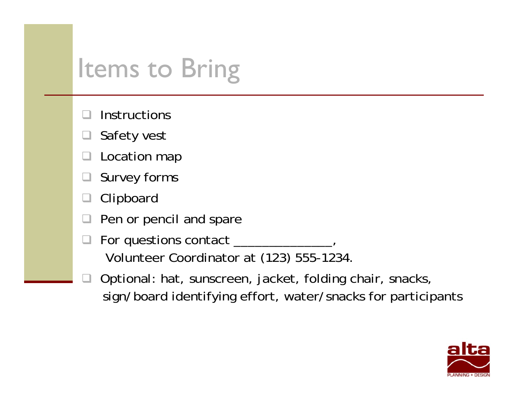# Items to Bring

- $\Box$ **Instructions**
- $\Box$ Safety vest
- $\Box$ Location map
- $\Box$ Survey forms
- $\Box$ Clipboard
- $\Box$ Pen or pencil and spare
- $\Box$ For questions contact \_\_\_\_\_\_\_\_\_\_\_\_\_, Volunteer Coordinator at (123) 555-1234.
- $\Box$  Optional: hat, sunscreen, jacket, folding chair, snacks, sign/board identifying effort, water/snacks for participants

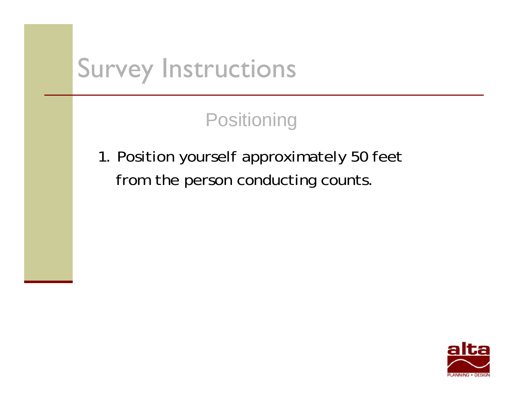**Positioning** 

1. Position yourself approximately 50 feet from the person conducting counts.

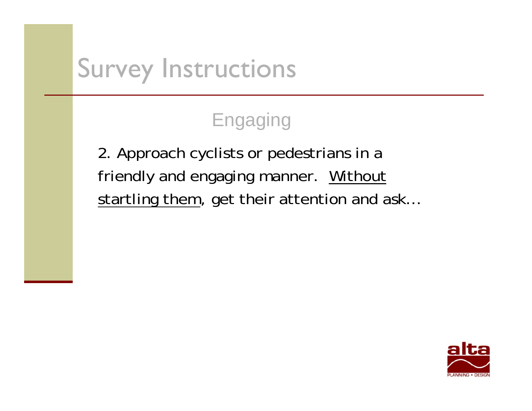#### Engaging

2. Approach cyclists or pedestrians in a friendly and engaging manner. Without startling them, get their attention and ask...

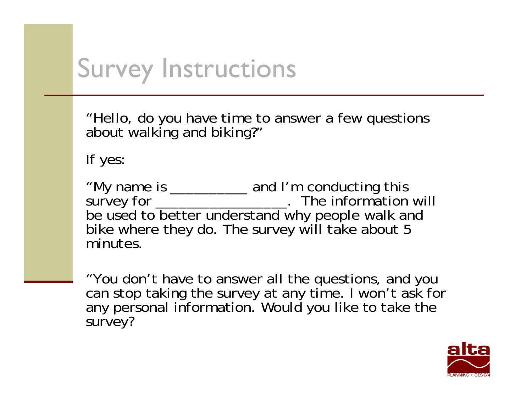"Hello, do you have time to answer a few questions about walking and biking?"

If yes:

"My name is \_\_\_\_\_\_\_\_\_\_ and I'm conducting this survey for \_\_\_\_\_\_\_\_\_\_\_\_\_\_\_\_\_\_\_\_. The information will be used to better understand why people walk and bike where they do. The survey will take about 5 minutes.

"You don't have to answer all the questions, and you can stop taking the survey at any time. I won't ask for any personal information. Would you like to take the survey?

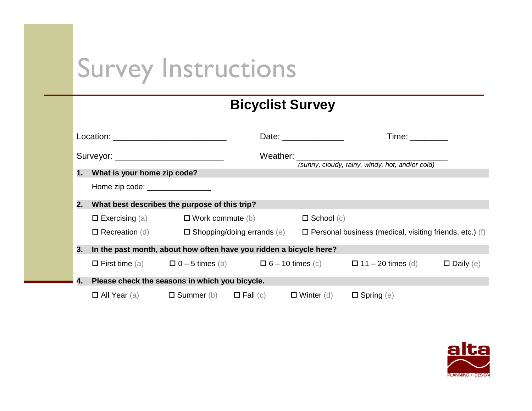#### **Bicyclist Survey**

|    |                                                                         |  |                                      | Date: _______________                                                                                                                                                                                                         | Time: The Second Second Second Second Second Second Second Second Second Second Second Second Second Second Second Second Second Second Second Second Second Second Second Second Second Second Second Second Second Second Se |                  |
|----|-------------------------------------------------------------------------|--|--------------------------------------|-------------------------------------------------------------------------------------------------------------------------------------------------------------------------------------------------------------------------------|--------------------------------------------------------------------------------------------------------------------------------------------------------------------------------------------------------------------------------|------------------|
|    |                                                                         |  |                                      | Weather: when the contract of the contract of the contract of the contract of the contract of the contract of the contract of the contract of the contract of the contract of the contract of the contract of the contract of | (sunny, cloudy, rainy, windy, hot, and/or cold)                                                                                                                                                                                |                  |
|    | 1. What is your home zip code?                                          |  |                                      |                                                                                                                                                                                                                               |                                                                                                                                                                                                                                |                  |
|    | Home zip code: _________________                                        |  |                                      |                                                                                                                                                                                                                               |                                                                                                                                                                                                                                |                  |
| 2. | What best describes the purpose of this trip?                           |  |                                      |                                                                                                                                                                                                                               |                                                                                                                                                                                                                                |                  |
|    | $\Box$ Exercising (a) $\Box$ Work commute (b)                           |  |                                      |                                                                                                                                                                                                                               | $\Box$ School $(c)$                                                                                                                                                                                                            |                  |
|    | $\Box$ Recreation (d)                                                   |  | $\square$ Shopping/doing errands (e) |                                                                                                                                                                                                                               | $\Box$ Personal business (medical, visiting friends, etc.) (f)                                                                                                                                                                 |                  |
| 3. | In the past month, about how often have you ridden a bicycle here?      |  |                                      |                                                                                                                                                                                                                               |                                                                                                                                                                                                                                |                  |
|    |                                                                         |  |                                      |                                                                                                                                                                                                                               | $\Box$ First time (a) $\Box$ 0 - 5 times (b) $\Box$ 6 - 10 times (c) $\Box$ 11 - 20 times (d)                                                                                                                                  | $\Box$ Daily (e) |
| 4. | Please check the seasons in which you bicycle.                          |  |                                      |                                                                                                                                                                                                                               |                                                                                                                                                                                                                                |                  |
|    | $\Box$ All Year (a) $\Box$ Summer (b) $\Box$ Fall (c) $\Box$ Winter (d) |  |                                      |                                                                                                                                                                                                                               | $\Box$ Spring (e)                                                                                                                                                                                                              |                  |

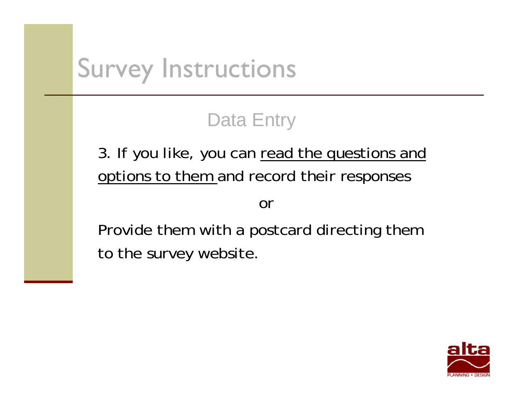#### Data Entry

3. If you like, you can read the questions and options to them and record their responses

or

Provide them with a postcard directing them to the survey website.

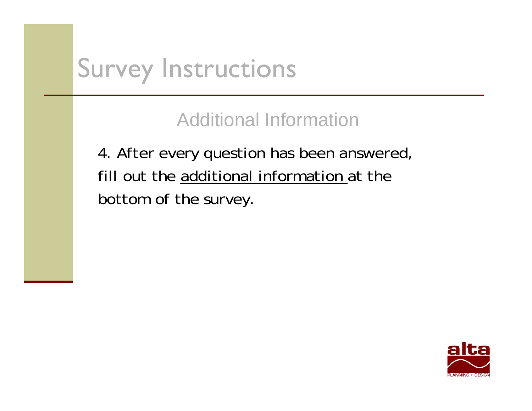Additional Information

4. After every question has been answered, fill out the additional information at the bottom of the survey.